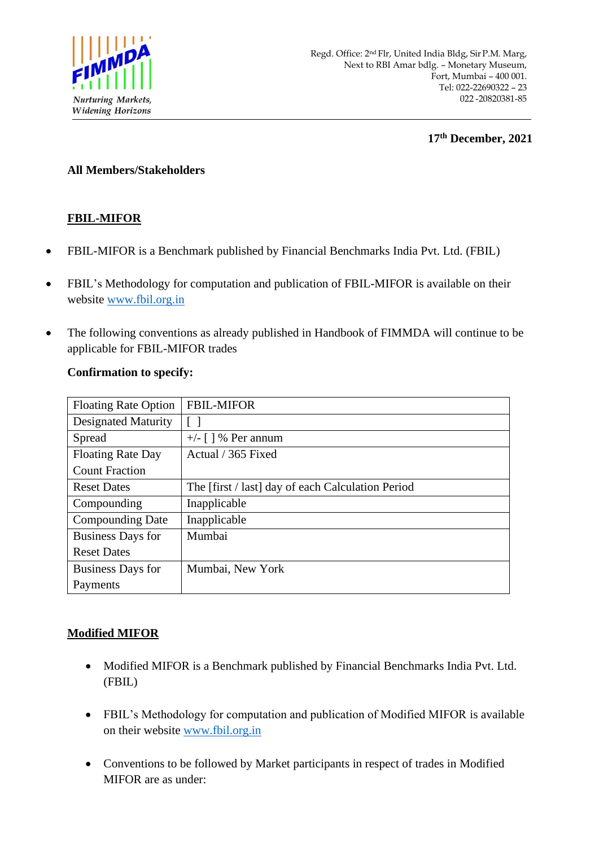

**17 th December, 2021**

#### **All Members/Stakeholders**

# **FBIL-MIFOR**

- FBIL-MIFOR is a Benchmark published by Financial Benchmarks India Pvt. Ltd. (FBIL)
- FBIL's Methodology for computation and publication of FBIL-MIFOR is available on their website [www.fbil.org.in](http://www.fbil.org.in/)
- The following conventions as already published in Handbook of FIMMDA will continue to be applicable for FBIL-MIFOR trades

### **Confirmation to specify:**

| <b>Floating Rate Option</b> | <b>FBIL-MIFOR</b>                                 |
|-----------------------------|---------------------------------------------------|
| <b>Designated Maturity</b>  |                                                   |
| Spread                      | +/- $\lceil \cdot \rceil$ % Per annum             |
| <b>Floating Rate Day</b>    | Actual / 365 Fixed                                |
| <b>Count Fraction</b>       |                                                   |
| <b>Reset Dates</b>          | The [first / last] day of each Calculation Period |
| Compounding                 | Inapplicable                                      |
| <b>Compounding Date</b>     | Inapplicable                                      |
| <b>Business Days for</b>    | Mumbai                                            |
| <b>Reset Dates</b>          |                                                   |
| <b>Business Days for</b>    | Mumbai, New York                                  |
| Payments                    |                                                   |

## **Modified MIFOR**

- Modified MIFOR is a Benchmark published by Financial Benchmarks India Pvt. Ltd. (FBIL)
- FBIL's Methodology for computation and publication of Modified MIFOR is available on their website [www.fbil.org.in](http://www.fbil.org.in/)
- Conventions to be followed by Market participants in respect of trades in Modified MIFOR are as under: